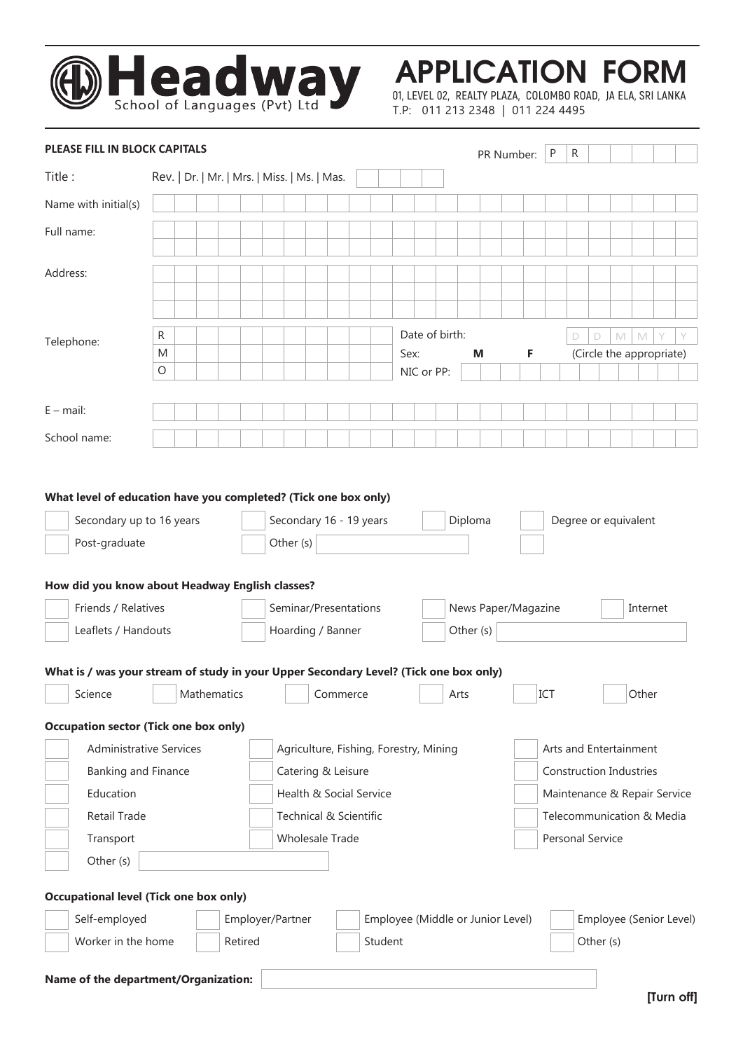

APPLICATION FORM

**01, LEVEL 02, REALTY PLAZA, COLOMBO ROAD, JA ELA, SRI LANKA** T.P: 011 213 2348 | 011 224 4495

| PLEASE FILL IN BLOCK CAPITALS                                                         |                                              |  |             |         |                                                              |                  |  |          |  |         |            |      |                     |      |                                                          |                                   | PR Number: |                      | P | R |           |                         |              |                          |            |
|---------------------------------------------------------------------------------------|----------------------------------------------|--|-------------|---------|--------------------------------------------------------------|------------------|--|----------|--|---------|------------|------|---------------------|------|----------------------------------------------------------|-----------------------------------|------------|----------------------|---|---|-----------|-------------------------|--------------|--------------------------|------------|
| Title:                                                                                | Rev.   Dr.   Mr.   Mrs.   Miss.   Ms.   Mas. |  |             |         |                                                              |                  |  |          |  |         |            |      |                     |      |                                                          |                                   |            |                      |   |   |           |                         |              |                          |            |
| Name with initial(s)                                                                  |                                              |  |             |         |                                                              |                  |  |          |  |         |            |      |                     |      |                                                          |                                   |            |                      |   |   |           |                         |              |                          |            |
| Full name:                                                                            |                                              |  |             |         |                                                              |                  |  |          |  |         |            |      |                     |      |                                                          |                                   |            |                      |   |   |           |                         |              |                          |            |
|                                                                                       |                                              |  |             |         |                                                              |                  |  |          |  |         |            |      |                     |      |                                                          |                                   |            |                      |   |   |           |                         |              |                          |            |
| Address:                                                                              |                                              |  |             |         |                                                              |                  |  |          |  |         |            |      |                     |      |                                                          |                                   |            |                      |   |   |           |                         |              |                          |            |
|                                                                                       |                                              |  |             |         |                                                              |                  |  |          |  |         |            |      |                     |      |                                                          |                                   |            |                      |   |   |           |                         |              |                          |            |
|                                                                                       | R                                            |  |             |         |                                                              |                  |  |          |  |         |            |      | Date of birth:      |      |                                                          |                                   |            |                      |   | D | D         | M                       | $\mathbb{M}$ | Υ                        |            |
| Telephone:                                                                            | M                                            |  |             |         |                                                              |                  |  |          |  |         |            | Sex: |                     |      | М                                                        |                                   | F          |                      |   |   |           |                         |              | (Circle the appropriate) |            |
|                                                                                       | $\circ$                                      |  |             |         |                                                              |                  |  |          |  |         | NIC or PP: |      |                     |      |                                                          |                                   |            |                      |   |   |           |                         |              |                          |            |
|                                                                                       |                                              |  |             |         |                                                              |                  |  |          |  |         |            |      |                     |      |                                                          |                                   |            |                      |   |   |           |                         |              |                          |            |
| $E$ – mail:                                                                           |                                              |  |             |         |                                                              |                  |  |          |  |         |            |      |                     |      |                                                          |                                   |            |                      |   |   |           |                         |              |                          |            |
| School name:                                                                          |                                              |  |             |         |                                                              |                  |  |          |  |         |            |      |                     |      |                                                          |                                   |            |                      |   |   |           |                         |              |                          |            |
|                                                                                       |                                              |  |             |         |                                                              |                  |  |          |  |         |            |      |                     |      |                                                          |                                   |            |                      |   |   |           |                         |              |                          |            |
| What level of education have you completed? (Tick one box only)                       |                                              |  |             |         |                                                              |                  |  |          |  |         |            |      |                     |      |                                                          |                                   |            |                      |   |   |           |                         |              |                          |            |
| Secondary up to 16 years                                                              |                                              |  |             |         | Secondary 16 - 19 years                                      |                  |  |          |  |         |            |      |                     |      | Diploma                                                  |                                   |            | Degree or equivalent |   |   |           |                         |              |                          |            |
| Post-graduate                                                                         |                                              |  |             |         | Other (s)                                                    |                  |  |          |  |         |            |      |                     |      |                                                          |                                   |            |                      |   |   |           |                         |              |                          |            |
|                                                                                       |                                              |  |             |         |                                                              |                  |  |          |  |         |            |      |                     |      |                                                          |                                   |            |                      |   |   |           |                         |              |                          |            |
| How did you know about Headway English classes?                                       |                                              |  |             |         |                                                              |                  |  |          |  |         |            |      |                     |      |                                                          |                                   |            |                      |   |   |           |                         |              |                          |            |
| Friends / Relatives                                                                   |                                              |  |             |         | Seminar/Presentations                                        |                  |  |          |  |         |            |      | News Paper/Magazine |      |                                                          |                                   |            |                      |   |   |           | Internet                |              |                          |            |
| Leaflets / Handouts                                                                   |                                              |  |             |         | Hoarding / Banner                                            |                  |  |          |  |         |            |      |                     |      | Other (s)                                                |                                   |            |                      |   |   |           |                         |              |                          |            |
| What is / was your stream of study in your Upper Secondary Level? (Tick one box only) |                                              |  |             |         |                                                              |                  |  |          |  |         |            |      |                     |      |                                                          |                                   |            |                      |   |   |           |                         |              |                          |            |
| Science                                                                               |                                              |  | Mathematics |         |                                                              |                  |  | Commerce |  |         |            |      |                     | Arts |                                                          |                                   |            | ICT                  |   |   |           |                         | Other        |                          |            |
|                                                                                       |                                              |  |             |         |                                                              |                  |  |          |  |         |            |      |                     |      |                                                          |                                   |            |                      |   |   |           |                         |              |                          |            |
| <b>Occupation sector (Tick one box only)</b>                                          |                                              |  |             |         |                                                              |                  |  |          |  |         |            |      |                     |      |                                                          |                                   |            |                      |   |   |           |                         |              |                          |            |
| <b>Administrative Services</b><br>Banking and Finance                                 |                                              |  |             |         | Agriculture, Fishing, Forestry, Mining<br>Catering & Leisure |                  |  |          |  |         |            |      |                     |      | Arts and Entertainment<br><b>Construction Industries</b> |                                   |            |                      |   |   |           |                         |              |                          |            |
| Education                                                                             |                                              |  |             |         | Health & Social Service                                      |                  |  |          |  |         |            |      |                     |      | Maintenance & Repair Service                             |                                   |            |                      |   |   |           |                         |              |                          |            |
| Retail Trade                                                                          |                                              |  |             |         | Technical & Scientific                                       |                  |  |          |  |         |            |      |                     |      | Telecommunication & Media                                |                                   |            |                      |   |   |           |                         |              |                          |            |
| Transport                                                                             |                                              |  |             |         | <b>Wholesale Trade</b><br>Personal Service                   |                  |  |          |  |         |            |      |                     |      |                                                          |                                   |            |                      |   |   |           |                         |              |                          |            |
| Other (s)                                                                             |                                              |  |             |         |                                                              |                  |  |          |  |         |            |      |                     |      |                                                          |                                   |            |                      |   |   |           |                         |              |                          |            |
|                                                                                       |                                              |  |             |         |                                                              |                  |  |          |  |         |            |      |                     |      |                                                          |                                   |            |                      |   |   |           |                         |              |                          |            |
| <b>Occupational level (Tick one box only)</b>                                         |                                              |  |             |         |                                                              |                  |  |          |  |         |            |      |                     |      |                                                          |                                   |            |                      |   |   |           |                         |              |                          |            |
| Self-employed                                                                         |                                              |  |             |         |                                                              | Employer/Partner |  |          |  |         |            |      |                     |      |                                                          | Employee (Middle or Junior Level) |            |                      |   |   |           | Employee (Senior Level) |              |                          |            |
| Worker in the home                                                                    |                                              |  |             | Retired |                                                              |                  |  |          |  | Student |            |      |                     |      |                                                          |                                   |            |                      |   |   | Other (s) |                         |              |                          |            |
| Name of the department/Organization:                                                  |                                              |  |             |         |                                                              |                  |  |          |  |         |            |      |                     |      |                                                          |                                   |            |                      |   |   |           |                         |              |                          |            |
|                                                                                       |                                              |  |             |         |                                                              |                  |  |          |  |         |            |      |                     |      |                                                          |                                   |            |                      |   |   |           |                         |              |                          | [Turn off] |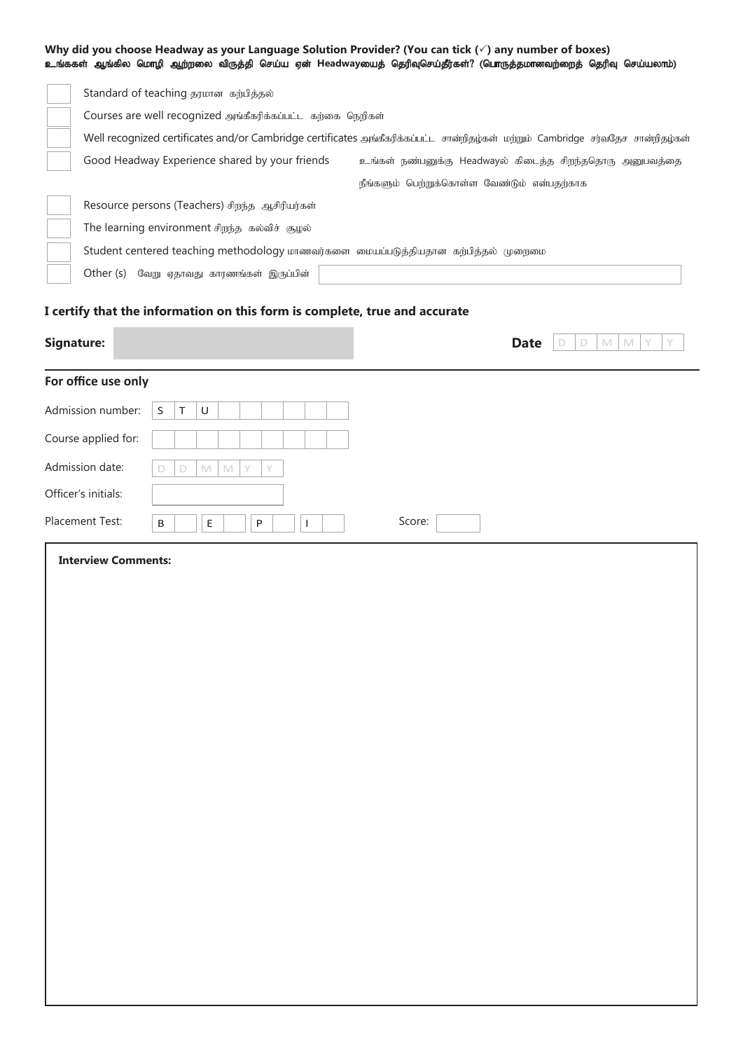|                            |                                                                                                                                                                                                                                                | Why did you choose Headway as your Language Solution Provider? (You can tick $(\check{ } )$ any number of boxes)<br>உங்ககள் ஆங்கில மொழி ஆற்றலை விருத்தி செய்ய ஏன் Headwayயைத் தெரிவுசெய்தீர்கள்? (பொருத்தமானவற்றைத் தெரிவு செய்யலாம்) |  |  |  |  |  |  |
|----------------------------|------------------------------------------------------------------------------------------------------------------------------------------------------------------------------------------------------------------------------------------------|---------------------------------------------------------------------------------------------------------------------------------------------------------------------------------------------------------------------------------------|--|--|--|--|--|--|
|                            | Standard of teaching தரமான கற்பித்தல்                                                                                                                                                                                                          |                                                                                                                                                                                                                                       |  |  |  |  |  |  |
|                            | Courses are well recognized அங்கீகரிக்கப்பட்ட கற்கை நெறிகள்                                                                                                                                                                                    |                                                                                                                                                                                                                                       |  |  |  |  |  |  |
|                            | Well recognized certificates and/or Cambridge certificates அங்கீகரிக்கப்பட்ட சான்றிதழ்கள் மற்றும் Cambridge சர்வதேச சான்றிதழ்கள்<br>Good Headway Experience shared by your friends<br>உங்கள் நண்பனுக்கு Headwayல் கிடைத்த சிறந்ததொரு அனுபவத்தை |                                                                                                                                                                                                                                       |  |  |  |  |  |  |
|                            |                                                                                                                                                                                                                                                |                                                                                                                                                                                                                                       |  |  |  |  |  |  |
|                            |                                                                                                                                                                                                                                                | நீங்களும் பெற்றுக்கொள்ள வேண்டும் என்பதற்காக                                                                                                                                                                                           |  |  |  |  |  |  |
|                            | Resource persons (Teachers) சிறந்த ஆசிரியர்கள்                                                                                                                                                                                                 |                                                                                                                                                                                                                                       |  |  |  |  |  |  |
|                            | The learning environment சிறந்த கல்விச் சூழல்                                                                                                                                                                                                  |                                                                                                                                                                                                                                       |  |  |  |  |  |  |
|                            | Student centered teaching methodology மாணவர்களை மையப்படுத்தியதான கற்பித்தல் முறைமை                                                                                                                                                             |                                                                                                                                                                                                                                       |  |  |  |  |  |  |
|                            | Other (s) வேறு ஏதாவது காரணங்கள் இருப்பின்                                                                                                                                                                                                      |                                                                                                                                                                                                                                       |  |  |  |  |  |  |
|                            | I certify that the information on this form is complete, true and accurate                                                                                                                                                                     |                                                                                                                                                                                                                                       |  |  |  |  |  |  |
| <b>Signature:</b>          |                                                                                                                                                                                                                                                | <b>Date</b><br>M<br>M<br>Y<br>D<br>D                                                                                                                                                                                                  |  |  |  |  |  |  |
| For office use only        |                                                                                                                                                                                                                                                |                                                                                                                                                                                                                                       |  |  |  |  |  |  |
| Admission number:          | S<br>$\cup$<br>Τ                                                                                                                                                                                                                               |                                                                                                                                                                                                                                       |  |  |  |  |  |  |
| Course applied for:        |                                                                                                                                                                                                                                                |                                                                                                                                                                                                                                       |  |  |  |  |  |  |
| Admission date:            | $\mathbb{M}$<br>$\mathbb N$<br>Y<br>Y<br>D<br>D                                                                                                                                                                                                |                                                                                                                                                                                                                                       |  |  |  |  |  |  |
| Officer's initials:        |                                                                                                                                                                                                                                                |                                                                                                                                                                                                                                       |  |  |  |  |  |  |
| Placement Test:            | Е<br>P<br>B<br>$\mathbf{I}$                                                                                                                                                                                                                    | Score:                                                                                                                                                                                                                                |  |  |  |  |  |  |
| <b>Interview Comments:</b> |                                                                                                                                                                                                                                                |                                                                                                                                                                                                                                       |  |  |  |  |  |  |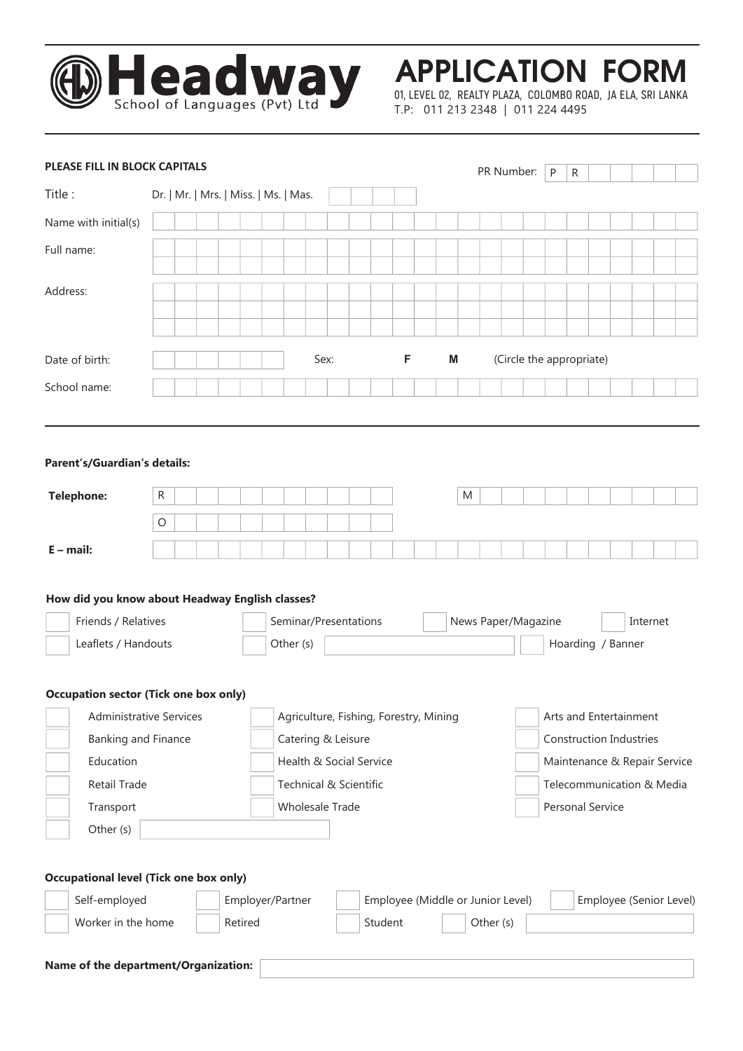

APPLICATION FORM

**01, LEVEL 02, REALTY PLAZA, COLOMBO ROAD, JA ELA, SRI LANKA** T.P: 011 213 2348 | 011 224 4495

| PLEASE FILL IN BLOCK CAPITALS                                                                                                                         |         |                                       |                  |  |           |      |                                                                 |                                                                   |   |  |   |   |           | PR Number: | P                        | R |                  |                                                          |                           |                              |
|-------------------------------------------------------------------------------------------------------------------------------------------------------|---------|---------------------------------------|------------------|--|-----------|------|-----------------------------------------------------------------|-------------------------------------------------------------------|---|--|---|---|-----------|------------|--------------------------|---|------------------|----------------------------------------------------------|---------------------------|------------------------------|
| Title:                                                                                                                                                |         | Dr.   Mr.   Mrs.   Miss.   Ms.   Mas. |                  |  |           |      |                                                                 |                                                                   |   |  |   |   |           |            |                          |   |                  |                                                          |                           |                              |
| Name with initial(s)                                                                                                                                  |         |                                       |                  |  |           |      |                                                                 |                                                                   |   |  |   |   |           |            |                          |   |                  |                                                          |                           |                              |
| Full name:                                                                                                                                            |         |                                       |                  |  |           |      |                                                                 |                                                                   |   |  |   |   |           |            |                          |   |                  |                                                          |                           |                              |
| Address:                                                                                                                                              |         |                                       |                  |  |           |      |                                                                 |                                                                   |   |  |   |   |           |            |                          |   |                  |                                                          |                           |                              |
|                                                                                                                                                       |         |                                       |                  |  |           |      |                                                                 |                                                                   |   |  |   |   |           |            |                          |   |                  |                                                          |                           |                              |
| Date of birth:                                                                                                                                        |         |                                       |                  |  |           | Sex: |                                                                 |                                                                   | F |  | M |   |           |            | (Circle the appropriate) |   |                  |                                                          |                           |                              |
| School name:                                                                                                                                          |         |                                       |                  |  |           |      |                                                                 |                                                                   |   |  |   |   |           |            |                          |   |                  |                                                          |                           |                              |
| Parent's/Guardian's details:                                                                                                                          | R       |                                       |                  |  |           |      |                                                                 |                                                                   |   |  |   | M |           |            |                          |   |                  |                                                          |                           |                              |
| <b>Telephone:</b>                                                                                                                                     |         |                                       |                  |  |           |      |                                                                 |                                                                   |   |  |   |   |           |            |                          |   |                  |                                                          |                           |                              |
|                                                                                                                                                       | $\circ$ |                                       |                  |  |           |      |                                                                 |                                                                   |   |  |   |   |           |            |                          |   |                  |                                                          |                           |                              |
| $E$ – mail:                                                                                                                                           |         |                                       |                  |  |           |      |                                                                 |                                                                   |   |  |   |   |           |            |                          |   |                  |                                                          |                           |                              |
| How did you know about Headway English classes?<br>Friends / Relatives                                                                                |         |                                       |                  |  |           |      | Seminar/Presentations                                           |                                                                   |   |  |   |   |           |            | News Paper/Magazine      |   |                  |                                                          | Internet                  |                              |
| Leaflets / Handouts                                                                                                                                   |         |                                       |                  |  | Other (s) |      |                                                                 |                                                                   |   |  |   |   |           |            |                          |   |                  | Hoarding / Banner                                        |                           |                              |
| <b>Occupation sector (Tick one box only)</b><br>Administrative Services<br>Banking and Finance<br>Education<br>Retail Trade<br>Transport<br>Other (s) |         |                                       |                  |  |           |      | Catering & Leisure<br>Technical & Scientific<br>Wholesale Trade | Agriculture, Fishing, Forestry, Mining<br>Health & Social Service |   |  |   |   |           |            |                          |   | Personal Service | Arts and Entertainment<br><b>Construction Industries</b> | Telecommunication & Media | Maintenance & Repair Service |
| <b>Occupational level (Tick one box only)</b>                                                                                                         |         |                                       |                  |  |           |      |                                                                 |                                                                   |   |  |   |   |           |            |                          |   |                  |                                                          |                           |                              |
| Self-employed                                                                                                                                         |         |                                       | Employer/Partner |  |           |      |                                                                 | Employee (Middle or Junior Level)                                 |   |  |   |   |           |            |                          |   |                  |                                                          |                           | Employee (Senior Level)      |
| Worker in the home                                                                                                                                    |         |                                       | Retired          |  |           |      |                                                                 | Student                                                           |   |  |   |   | Other (s) |            |                          |   |                  |                                                          |                           |                              |
| Name of the department/Organization:                                                                                                                  |         |                                       |                  |  |           |      |                                                                 |                                                                   |   |  |   |   |           |            |                          |   |                  |                                                          |                           |                              |